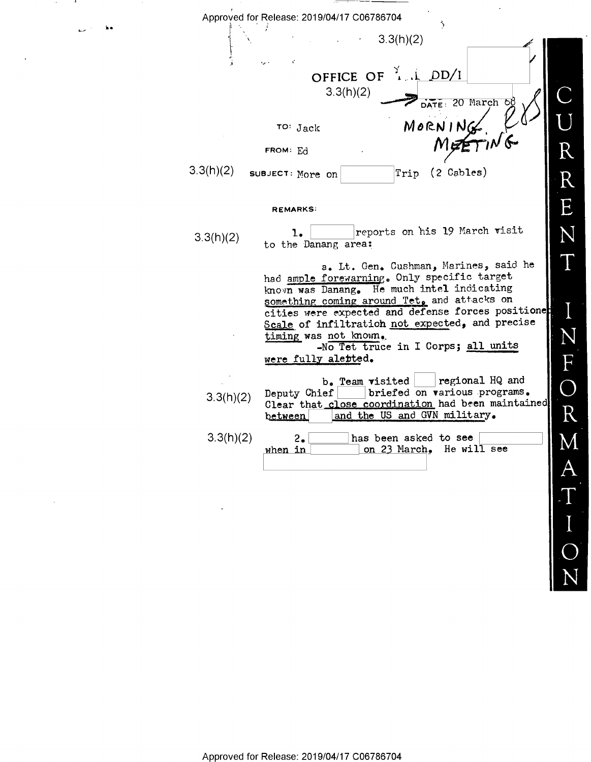| Approved for Release: 2019/04/17 C06786704<br>÷,                                                                                                                                                                                                                                                                                                                                 |  |
|----------------------------------------------------------------------------------------------------------------------------------------------------------------------------------------------------------------------------------------------------------------------------------------------------------------------------------------------------------------------------------|--|
| 3.3(h)(2)                                                                                                                                                                                                                                                                                                                                                                        |  |
| OFFICE OF $\frac{3}{4}$ , $\frac{1}{4}$ DD/I<br>3.3(h)(2)<br>DATE: 20 March of                                                                                                                                                                                                                                                                                                   |  |
| MORNING K<br>TO: Jack                                                                                                                                                                                                                                                                                                                                                            |  |
| FROM: Ed<br>3.3(h)(2)<br>Trip (2 Cables)<br>SUBJECT: More on                                                                                                                                                                                                                                                                                                                     |  |
| <b>REMARKS:</b>                                                                                                                                                                                                                                                                                                                                                                  |  |
| reports on his 19 March visit<br>1.<br>3.3(h)(2)<br>to the Danang area:                                                                                                                                                                                                                                                                                                          |  |
| a. Lt. Gen. Cushman, Marines, said he<br>had ample forewarning. Only specific target<br>known was Danang. He much intel indicating<br>something coming around Tet, and attacks on<br>cities were expected and defense forces positione<br>Scale of infiltration not expected, and precise<br>timing was not known.<br>-No Tet truce in I Corps; all units<br>were fully aletted. |  |
| regional HQ and<br>b. Team visited<br>briefed on various programs.<br>Deputy Chief<br>3.3(h)(2)<br>Clear that close coordination had been maintained<br>and the US and GVN military.<br>between                                                                                                                                                                                  |  |
| 3.3(h)(2)<br>has been asked to see<br>2.<br>on 23 March. He will see<br>when in                                                                                                                                                                                                                                                                                                  |  |

D

 $\begin{bmatrix} 1 \ 1 \end{bmatrix}$ 

N

\_\_\_

 $L$  like

 $\sim$  80  $\sim$  $\mathbf{L}$ 

 $\sim$ 

Approved for Release: 2019/04/17 C06786704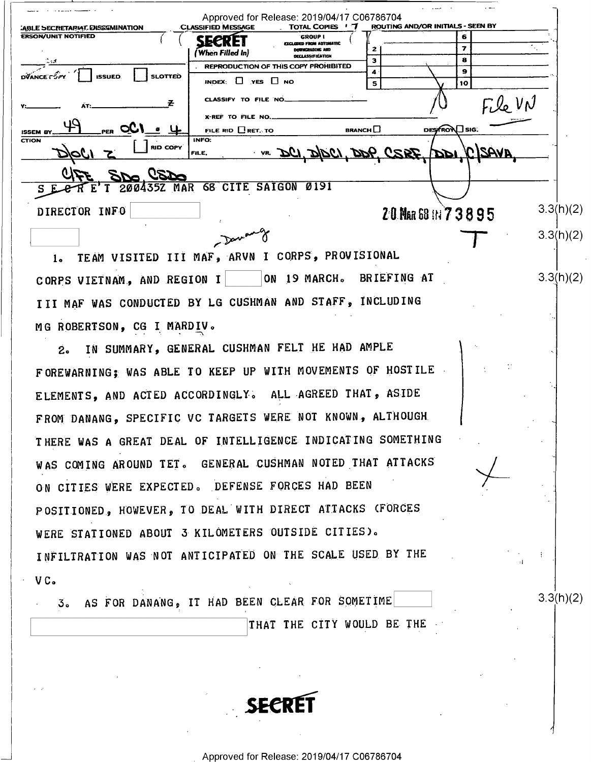| <b>ABLE SECRETARIAL DISSEMINATION</b><br><b>ERSON/UNIT NOTIFIED</b> | <b>CLASSIFIED MESSAGE</b><br>TOTAL COPIES ' 7<br><b>GROUP 1</b>                 |                         | ROUTING AND/OR INITIALS - SEEN BY<br>6 |        |           |
|---------------------------------------------------------------------|---------------------------------------------------------------------------------|-------------------------|----------------------------------------|--------|-----------|
|                                                                     | SECREI<br><b>EYCLODED FROM AUTOMATIC</b><br>DOWNCRADING AND<br>(When Filled In) | z                       |                                        |        |           |
|                                                                     | DECLASSIFICATION                                                                | з                       | 8                                      |        |           |
|                                                                     | REPRODUCTION OF THIS COPY PROHIBITED                                            |                         | 9                                      |        |           |
| <b>DVANCE COPY</b><br><b>SLOTTED</b><br><b>ISSUED</b>               | INDEX: $\Box$ YES $\Box$ NO                                                     | 5                       | 10                                     |        |           |
|                                                                     | CLASSIFY TO FILE NO.                                                            |                         |                                        | FileVN |           |
|                                                                     | X-REF TO FILE NO.                                                               |                         |                                        |        |           |
| <b>ISSEM BY</b>                                                     | FILE RID <b>RET. TO</b>                                                         | <b>BRANCH</b> $\square$ | DESTRON_SIG.                           |        |           |
| CTION<br><b>RID COPY</b>                                            | INFO:<br>VR DCI DIDCI, DOP, CSRF, DDI, CSAVA<br>FILE,                           |                         |                                        |        |           |
| 20a                                                                 |                                                                                 |                         |                                        |        |           |
| $E'$ T                                                              | 200435Z MAR 68 CITE SAIGON<br>0191                                              |                         |                                        |        |           |
| DIRECTOR INFO                                                       |                                                                                 |                         | 20 Nat 68 11 7 3 8 9 5                 |        | 3.3(h)(2) |
|                                                                     | $\mathbb{R}^2$                                                                  |                         |                                        |        | 3.3(h)(2) |

ON 19 MARCH. BRIEFING AT CORPS VIETNAM, AND REGION I III MAF WAS CONDUCTED BY LG CUSHMAN AND STAFF, INCLUDING MG ROBERTSON, CG I MARDIV.

IN SUMMARY, GENERAL CUSHMAN FELT HE HAD AMPLE  $2<sub>o</sub>$ FOREWARNING; WAS ABLE TO KEEP UP WITH MOVEMENTS OF HOSTILE ELEMENTS, AND ACTED ACCORDINGLY. ALL AGREED THAT, ASIDE FROM DANANG, SPECIFIC VC TARGETS WERE NOT KNOWN, ALTHOUGH THERE WAS A GREAT DEAL OF INTELLIGENCE INDICATING SOMETHING WAS COMING AROUND TET. GENERAL CUSHMAN NOTED THAT ATTACKS ON CITIES WERE EXPECTED. DEFENSE FORCES HAD BEEN POSITIONED, HOWEVER, TO DEAL WITH DIRECT ATTACKS (FORCES WERE STATIONED ABOUT 3 KILOMETERS OUTSIDE CITIES). INFILTRATION WAS NOT ANTICIPATED ON THE SCALE USED BY THE VC.

3. AS FOR DANANG, IT HAD BEEN CLEAR FOR SOMETIME THAT THE CITY WOULD BE THE  $3.3(h)(2)$ 

 $3.3(h)(2)$ 

**SECRI**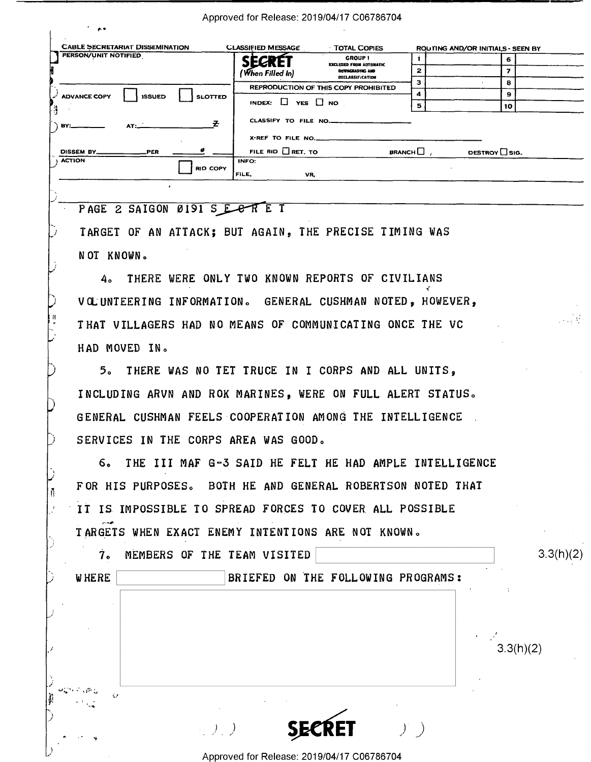Approved for Release: 2019/04/17 C06786704

| <b>CABLE SECRETARIAT DISSEMINATION</b>                                                                                                                                                                                                                                                                                                       | <b>CLASSIFIED MESSAGE</b><br>TOTAL COPIES                      | ROUTING AND/OR INITIALS - SEEN BY           |
|----------------------------------------------------------------------------------------------------------------------------------------------------------------------------------------------------------------------------------------------------------------------------------------------------------------------------------------------|----------------------------------------------------------------|---------------------------------------------|
| <b>PERSON/UNIT NOTIFIED</b>                                                                                                                                                                                                                                                                                                                  | <b>GROUP!</b><br><b>SECRET</b><br>EXCLUDED FROM AUTOMATIC      | 6                                           |
|                                                                                                                                                                                                                                                                                                                                              | DOWNGRADING AND<br>(When Filled In)<br><b>DECLASSIFICATION</b> | 2<br>7                                      |
|                                                                                                                                                                                                                                                                                                                                              | REPRODUCTION OF THIS COPY PROHIBITED                           | з<br>8                                      |
| <b>ADVANCE COPY</b><br><b>ISSUED</b><br><b>SLOTTED</b>                                                                                                                                                                                                                                                                                       |                                                                | 9<br>4                                      |
| P,                                                                                                                                                                                                                                                                                                                                           | INDEX: $\Box$ YES $\Box$ NO                                    | 5<br>10                                     |
| $\rightarrow$ BY:<br>$AT:$ $\frac{1}{2}$ $\frac{1}{2}$ $\frac{1}{2}$ $\frac{1}{2}$ $\frac{1}{2}$ $\frac{1}{2}$ $\frac{1}{2}$ $\frac{1}{2}$ $\frac{1}{2}$ $\frac{1}{2}$ $\frac{1}{2}$ $\frac{1}{2}$ $\frac{1}{2}$ $\frac{1}{2}$ $\frac{1}{2}$ $\frac{1}{2}$ $\frac{1}{2}$ $\frac{1}{2}$ $\frac{1}{2}$ $\frac{1}{2}$ $\frac{1}{2}$ $\frac{1}{$ | CLASSIFY TO FILE NO.                                           |                                             |
|                                                                                                                                                                                                                                                                                                                                              | X-REF TO FILE NO.                                              |                                             |
|                                                                                                                                                                                                                                                                                                                                              | FILE RID $\Box$ RET. TO                                        | <b>BRANCH</b> $\Box$<br>DESTROY $\Box$ SIG. |
| <b>ACTION</b><br><b>RID COPY</b>                                                                                                                                                                                                                                                                                                             | INFO:                                                          |                                             |
|                                                                                                                                                                                                                                                                                                                                              | FILE,<br>VR.                                                   |                                             |
|                                                                                                                                                                                                                                                                                                                                              |                                                                |                                             |
|                                                                                                                                                                                                                                                                                                                                              |                                                                |                                             |
| PAGE 2 SAIGON 0191 S E C R E T                                                                                                                                                                                                                                                                                                               |                                                                |                                             |
|                                                                                                                                                                                                                                                                                                                                              | TARGET OF AN ATTACK: BUT AGAIN, THE PRECISE TIMING WAS         |                                             |

NOT KNOWN.

4. THERE WERE ONLY TWO KNOWN REPORTS OF CIVILIANS VOLUNTEERING INFORMATION. GENERAL CUSHMAN NOTED, HOWEVER, THAT VILLAGERS HAD NO MEANS OF COMMUNICATING ONCE THE VC HAD MOVED IN.

5. THERE WAS NO TET TRUCE IN I CORPS AND ALL UNITS, INCLUDING ARVN AND ROK MARINES, WERE ON FULL ALERT STATUS. GENERAL CUSHMAN FEELS COOPERATION AMONG THE INTELLIGENCE. SERVICES IN THE CORPS AREA WAS GOOD.

6. THE III MAF G-3 SAID HE FELT HE HAD AMPLE INTELLIGENCE FOR HIS PURPOSES. BOTH HE AND GENERAL ROBERTSON NOTED THAT IT IS IMPOSSIBLE TO SPREAD FORCES TO COVER ALL POSSIBLE TARGETS WHEN EXACT ENEMY INTENTIONS ARE NOT KNOWN.

| MEMBERS OF THE TEAM VISITED        | 3.3(h)(2) |
|------------------------------------|-----------|
| BRIEFED ON THE FOLLOWING PROGRAMS: |           |
|                                    |           |
|                                    |           |
|                                    | 3.3(h)(2) |
|                                    |           |



Approved for Release: 2019/04/17 C06786704

 $\left( \frac{1}{2} \right)$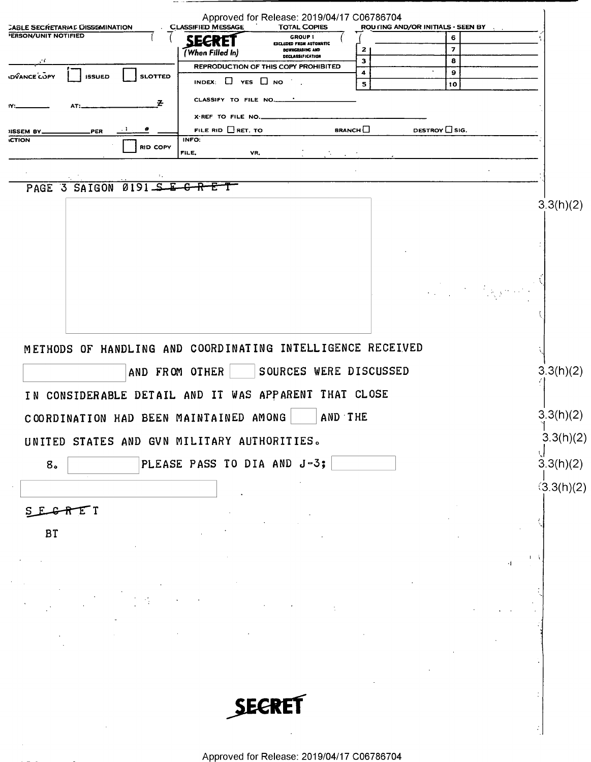|                                                                       | Approved for Release: 2019/04/17 C06786704<br><b>CLASSIFIED MESSAGE</b>            |                                    |                                                                                                                                                                                                                                                                                                             |                 |
|-----------------------------------------------------------------------|------------------------------------------------------------------------------------|------------------------------------|-------------------------------------------------------------------------------------------------------------------------------------------------------------------------------------------------------------------------------------------------------------------------------------------------------------|-----------------|
| <b>CABLE SECRETARIAL DISSEMINATION</b><br><b>PERSON/UNIT NOTIFIED</b> | <b>TOTAL COPIES</b><br><b>GROUP 1</b><br><b>SECRET</b>                             | ROU LING AND/OR INITIALS - SEEN BY | 6                                                                                                                                                                                                                                                                                                           |                 |
|                                                                       | EXCLUDED FROM AUTOMATIC<br>DOWNGRADING AND<br>(When Filled In)<br>DECLASSIFICATION | 2                                  | $\overline{\mathbf{z}}$                                                                                                                                                                                                                                                                                     |                 |
| сf.                                                                   | REPRODUCTION OF THIS COPY PROHIBITED                                               | з                                  | 8                                                                                                                                                                                                                                                                                                           |                 |
| <b>IDVANCE COPY</b><br><b>SLOTTED</b><br><b>ISSUED</b>                | INDEX: $\Box$ YES $\Box$ NO                                                        | 4<br>5                             | 9<br>10                                                                                                                                                                                                                                                                                                     |                 |
|                                                                       | CLASSIFY TO FILE NO.                                                               |                                    |                                                                                                                                                                                                                                                                                                             |                 |
| z                                                                     |                                                                                    |                                    |                                                                                                                                                                                                                                                                                                             |                 |
| PER<br><b>NSSEM BY.</b>                                               | X-REF TO FILE NO.<br>FILE RID RET. TO                                              | BRANCH                             | DESTROY CSIG.                                                                                                                                                                                                                                                                                               |                 |
| <b>ICTION</b>                                                         | INFO:                                                                              |                                    |                                                                                                                                                                                                                                                                                                             |                 |
| <b>RID COPY</b>                                                       | FILE.<br>VR,<br>÷.                                                                 |                                    |                                                                                                                                                                                                                                                                                                             |                 |
|                                                                       |                                                                                    |                                    |                                                                                                                                                                                                                                                                                                             |                 |
| $0191 - 5$<br>PAGE 3 SAIGON                                           | 모<br>$\overline{\textbf{e}}$<br>$\overline{\textbf{R}}$<br>t                       |                                    |                                                                                                                                                                                                                                                                                                             |                 |
|                                                                       |                                                                                    |                                    |                                                                                                                                                                                                                                                                                                             | 3.3(h)(2)       |
|                                                                       |                                                                                    |                                    |                                                                                                                                                                                                                                                                                                             |                 |
|                                                                       |                                                                                    |                                    |                                                                                                                                                                                                                                                                                                             |                 |
|                                                                       |                                                                                    |                                    |                                                                                                                                                                                                                                                                                                             |                 |
|                                                                       |                                                                                    |                                    |                                                                                                                                                                                                                                                                                                             |                 |
|                                                                       |                                                                                    |                                    |                                                                                                                                                                                                                                                                                                             |                 |
|                                                                       |                                                                                    |                                    | $\frac{1}{2}\sum_{i=1}^2\sum_{j=1}^2\sum_{j=1}^2\sum_{j=1}^2\sum_{j=1}^2\sum_{j=1}^2\sum_{j=1}^2\sum_{j=1}^2\sum_{j=1}^2\sum_{j=1}^2\sum_{j=1}^2\sum_{j=1}^2\sum_{j=1}^2\sum_{j=1}^2\sum_{j=1}^2\sum_{j=1}^2\sum_{j=1}^2\sum_{j=1}^2\sum_{j=1}^2\sum_{j=1}^2\sum_{j=1}^2\sum_{j=1}^2\sum_{j=1}^2\sum_{j=1}$ |                 |
|                                                                       |                                                                                    |                                    |                                                                                                                                                                                                                                                                                                             |                 |
|                                                                       |                                                                                    |                                    |                                                                                                                                                                                                                                                                                                             |                 |
|                                                                       |                                                                                    |                                    |                                                                                                                                                                                                                                                                                                             |                 |
|                                                                       | METHODS OF HANDLING AND COORDINATING INTELLIGENCE RECEIVED                         |                                    |                                                                                                                                                                                                                                                                                                             |                 |
|                                                                       |                                                                                    |                                    |                                                                                                                                                                                                                                                                                                             |                 |
|                                                                       | AND FROM OTHER<br>SOURCES WERE DISCUSSED                                           |                                    |                                                                                                                                                                                                                                                                                                             | 3.3(h)(2)       |
|                                                                       | IN CONSIDERABLE DETAIL AND IT WAS APPARENT THAT CLOSE                              |                                    |                                                                                                                                                                                                                                                                                                             |                 |
|                                                                       |                                                                                    |                                    |                                                                                                                                                                                                                                                                                                             |                 |
| COORDINATION HAD BEEN MAINTAINED AMONG                                |                                                                                    | AND THE                            |                                                                                                                                                                                                                                                                                                             | 3.3(h)(2)       |
|                                                                       | UNITED STATES AND GVN MILITARY AUTHORITIES.                                        |                                    |                                                                                                                                                                                                                                                                                                             | 3.3(h)(2)       |
|                                                                       |                                                                                    |                                    |                                                                                                                                                                                                                                                                                                             |                 |
| 8 <sub>o</sub>                                                        | PLEASE PASS TO DIA AND J-3;                                                        |                                    |                                                                                                                                                                                                                                                                                                             | ्।<br>3.3(h)(2) |
|                                                                       |                                                                                    |                                    |                                                                                                                                                                                                                                                                                                             | (3.3(h)(2)      |
|                                                                       |                                                                                    |                                    |                                                                                                                                                                                                                                                                                                             |                 |
| SEGRET                                                                |                                                                                    |                                    |                                                                                                                                                                                                                                                                                                             |                 |
|                                                                       |                                                                                    |                                    |                                                                                                                                                                                                                                                                                                             |                 |
| <b>BT</b>                                                             |                                                                                    |                                    |                                                                                                                                                                                                                                                                                                             |                 |
|                                                                       |                                                                                    |                                    |                                                                                                                                                                                                                                                                                                             | $\blacksquare$  |
|                                                                       |                                                                                    |                                    | ٠١                                                                                                                                                                                                                                                                                                          |                 |
|                                                                       |                                                                                    |                                    |                                                                                                                                                                                                                                                                                                             |                 |
|                                                                       |                                                                                    |                                    |                                                                                                                                                                                                                                                                                                             |                 |
|                                                                       |                                                                                    |                                    |                                                                                                                                                                                                                                                                                                             |                 |
|                                                                       |                                                                                    |                                    |                                                                                                                                                                                                                                                                                                             |                 |
|                                                                       |                                                                                    |                                    |                                                                                                                                                                                                                                                                                                             |                 |
|                                                                       |                                                                                    |                                    |                                                                                                                                                                                                                                                                                                             |                 |
|                                                                       |                                                                                    |                                    |                                                                                                                                                                                                                                                                                                             |                 |
|                                                                       |                                                                                    |                                    |                                                                                                                                                                                                                                                                                                             |                 |
|                                                                       |                                                                                    |                                    |                                                                                                                                                                                                                                                                                                             |                 |
|                                                                       | <b>SECRET</b>                                                                      |                                    |                                                                                                                                                                                                                                                                                                             |                 |
|                                                                       |                                                                                    |                                    |                                                                                                                                                                                                                                                                                                             |                 |
|                                                                       |                                                                                    |                                    |                                                                                                                                                                                                                                                                                                             |                 |